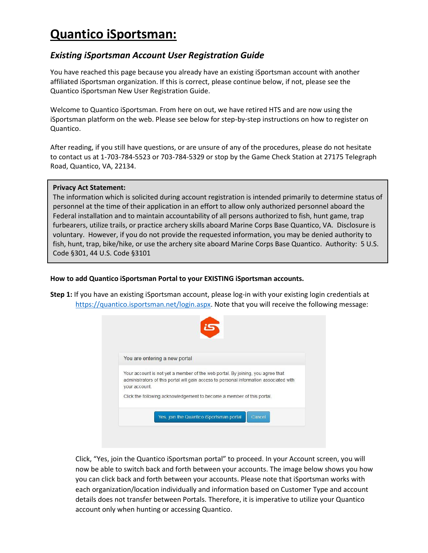## **Quantico iSportsman:**

## *Existing iSportsman Account User Registration Guide*

You have reached this page because you already have an existing iSportsman account with another affiliated iSportsman organization. If this is correct, please continue below, if not, please see the Quantico iSportsman New User Registration Guide.

Welcome to Quantico iSportsman. From here on out, we have retired HTS and are now using the iSportsman platform on the web. Please see below for step-by-step instructions on how to register on Quantico.

After reading, if you still have questions, or are unsure of any of the procedures, please do not hesitate to contact us at 1-703-784-5523 or 703-784-5329 or stop by the Game Check Station at 27175 Telegraph Road, Quantico, VA, 22134.

## **Privacy Act Statement:**

The information which is solicited during account registration is intended primarily to determine status of personnel at the time of their application in an effort to allow only authorized personnel aboard the Federal installation and to maintain accountability of all persons authorized to fish, hunt game, trap furbearers, utilize trails, or practice archery skills aboard Marine Corps Base Quantico, VA. Disclosure is voluntary. However, if you do not provide the requested information, you may be denied authority to fish, hunt, trap, bike/hike, or use the archery site aboard Marine Corps Base Quantico. Authority: 5 U.S. Code §301, 44 U.S. Code §3101

**How to add Quantico iSportsman Portal to your EXISTING iSportsman accounts.**

**Step 1:** If you have an existing iSportsman account, please log-in with your existing login credentials at [https://quantico.isportsman.net/login.aspx.](https://quantico.isportsman.net/login.aspx) Note that you will receive the following message:



Click, "Yes, join the Quantico iSportsman portal" to proceed. In your Account screen, you will now be able to switch back and forth between your accounts. The image below shows you how you can click back and forth between your accounts. Please note that iSportsman works with each organization/location individually and information based on Customer Type and account details does not transfer between Portals. Therefore, it is imperative to utilize your Quantico account only when hunting or accessing Quantico.